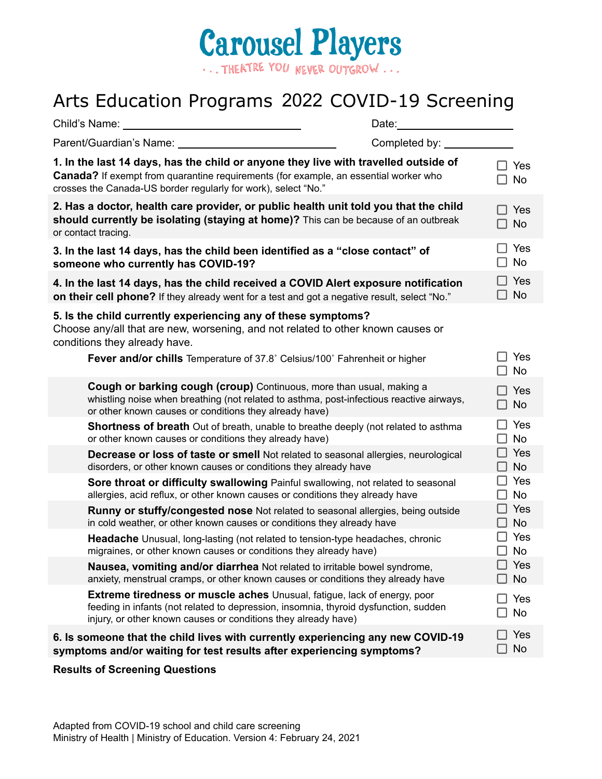

## Arts Education Programs 2022 COVID-19 Screening

| Child's Name:                                                  |                                                                                                                                                                                                                                           | Date:                  |                                                  |
|----------------------------------------------------------------|-------------------------------------------------------------------------------------------------------------------------------------------------------------------------------------------------------------------------------------------|------------------------|--------------------------------------------------|
| Parent/Guardian's Name: _________                              |                                                                                                                                                                                                                                           | Completed by: ________ |                                                  |
| crosses the Canada-US border regularly for work), select "No." | 1. In the last 14 days, has the child or anyone they live with travelled outside of<br><b>Canada?</b> If exempt from quarantine requirements (for example, an essential worker who                                                        |                        | $\Box$ Yes<br><b>No</b>                          |
| or contact tracing.                                            | 2. Has a doctor, health care provider, or public health unit told you that the child<br>should currently be isolating (staying at home)? This can be because of an outbreak                                                               |                        | $\Box$ Yes<br>$\square$ No                       |
| someone who currently has COVID-19?                            | 3. In the last 14 days, has the child been identified as a "close contact" of                                                                                                                                                             |                        | Yes<br><b>No</b>                                 |
|                                                                | 4. In the last 14 days, has the child received a COVID Alert exposure notification<br>on their cell phone? If they already went for a test and got a negative result, select "No."                                                        |                        | $\Box$ Yes<br>$\square$ No                       |
| conditions they already have.                                  | 5. Is the child currently experiencing any of these symptoms?<br>Choose any/all that are new, worsening, and not related to other known causes or                                                                                         |                        |                                                  |
|                                                                | Fever and/or chills Temperature of 37.8° Celsius/100° Fahrenheit or higher                                                                                                                                                                |                        | Yes<br>No<br>$\mathsf{L}$                        |
|                                                                | <b>Cough or barking cough (croup)</b> Continuous, more than usual, making a<br>whistling noise when breathing (not related to asthma, post-infectious reactive airways,<br>or other known causes or conditions they already have)         |                        | Yes<br>$\square$ No                              |
|                                                                | Shortness of breath Out of breath, unable to breathe deeply (not related to asthma<br>or other known causes or conditions they already have)                                                                                              |                        | Yes<br>$\mathsf{L}$<br><b>No</b><br>$\mathsf{L}$ |
|                                                                | Decrease or loss of taste or smell Not related to seasonal allergies, neurological<br>disorders, or other known causes or conditions they already have                                                                                    |                        | $\Box$ Yes<br>$\square$ No                       |
|                                                                | Sore throat or difficulty swallowing Painful swallowing, not related to seasonal<br>allergies, acid reflux, or other known causes or conditions they already have                                                                         |                        | $\Box$ Yes<br>$\square$ No                       |
|                                                                | Runny or stuffy/congested nose Not related to seasonal allergies, being outside<br>in cold weather, or other known causes or conditions they already have                                                                                 |                        | $\Box$ Yes<br><b>No</b>                          |
|                                                                | <b>Headache</b> Unusual, long-lasting (not related to tension-type headaches, chronic<br>migraines, or other known causes or conditions they already have)                                                                                |                        | $\Box$ Yes<br>$\square$ No                       |
|                                                                | Nausea, vomiting and/or diarrhea Not related to irritable bowel syndrome,<br>anxiety, menstrual cramps, or other known causes or conditions they already have                                                                             |                        | Yes<br><b>No</b>                                 |
|                                                                | <b>Extreme tiredness or muscle aches</b> Unusual, fatigue, lack of energy, poor<br>feeding in infants (not related to depression, insomnia, thyroid dysfunction, sudden<br>injury, or other known causes or conditions they already have) |                        | Yes<br>No                                        |
|                                                                | 6. Is someone that the child lives with currently experiencing any new COVID-19<br>symptoms and/or waiting for test results after experiencing symptoms?                                                                                  | $\mathsf{L}$           | Yes<br><b>No</b>                                 |

## **Results of Screening Questions**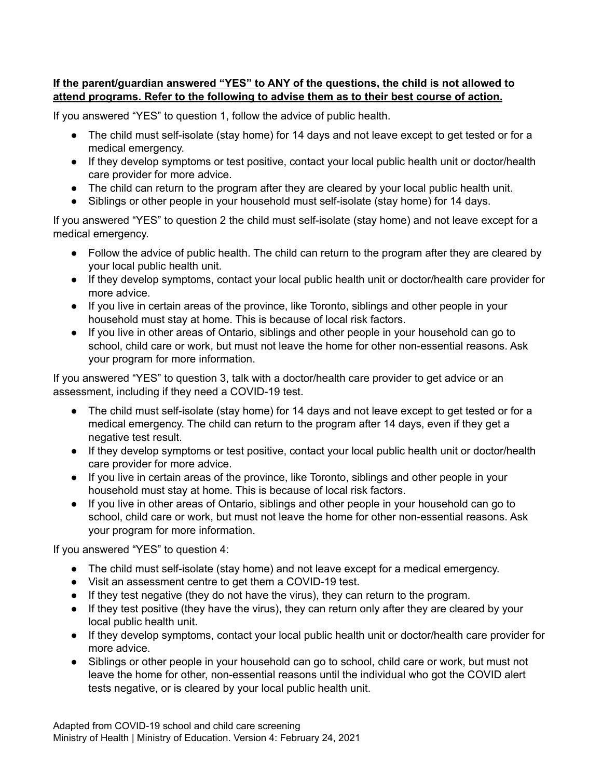## **If the parent/guardian answered "YES" to ANY of the questions, the child is not allowed to attend programs. Refer to the following to advise them as to their best course of action.**

If you answered "YES" to question 1, follow the advice of public health.

- The child must self-isolate (stay home) for 14 days and not leave except to get tested or for a medical emergency.
- If they develop symptoms or test positive, contact your local public health unit or doctor/health care provider for more advice.
- The child can return to the program after they are cleared by your local public health unit.
- Siblings or other people in your household must self-isolate (stay home) for 14 days.

If you answered "YES" to question 2 the child must self-isolate (stay home) and not leave except for a medical emergency.

- Follow the advice of public health. The child can return to the program after they are cleared by your local public health unit.
- If they develop symptoms, contact your local public health unit or doctor/health care provider for more advice.
- If you live in certain areas of the province, like Toronto, siblings and other people in your household must stay at home. This is because of local risk factors.
- If you live in other areas of Ontario, siblings and other people in your household can go to school, child care or work, but must not leave the home for other non-essential reasons. Ask your program for more information.

If you answered "YES" to question 3, talk with a doctor/health care provider to get advice or an assessment, including if they need a COVID-19 test.

- The child must self-isolate (stay home) for 14 days and not leave except to get tested or for a medical emergency. The child can return to the program after 14 days, even if they get a negative test result.
- If they develop symptoms or test positive, contact your local public health unit or doctor/health care provider for more advice.
- If you live in certain areas of the province, like Toronto, siblings and other people in your household must stay at home. This is because of local risk factors.
- If you live in other areas of Ontario, siblings and other people in your household can go to school, child care or work, but must not leave the home for other non-essential reasons. Ask your program for more information.

If you answered "YES" to question 4:

- The child must self-isolate (stay home) and not leave except for a medical emergency.
- Visit an assessment centre to get them a COVID-19 test.
- If they test negative (they do not have the virus), they can return to the program.
- If they test positive (they have the virus), they can return only after they are cleared by your local public health unit.
- If they develop symptoms, contact your local public health unit or doctor/health care provider for more advice.
- Siblings or other people in your household can go to school, child care or work, but must not leave the home for other, non-essential reasons until the individual who got the COVID alert tests negative, or is cleared by your local public health unit.